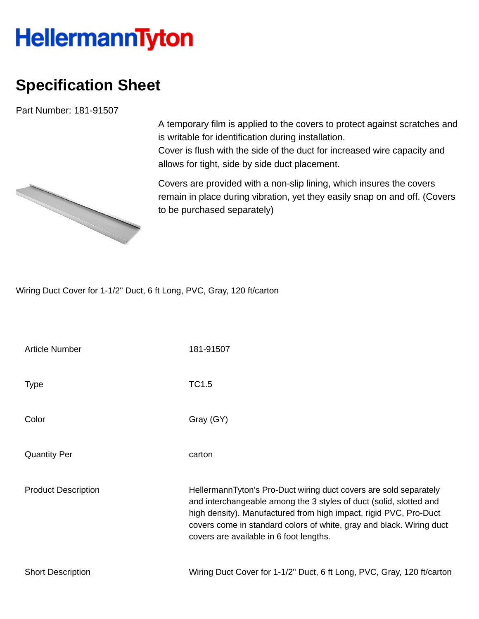## **HellermannTyton**

## **Specification Sheet**

Part Number: 181-91507

A temporary film is applied to the covers to protect against scratches and is writable for identification during installation.

Cover is flush with the side of the duct for increased wire capacity and allows for tight, side by side duct placement.

Covers are provided with a non-slip lining, which insures the covers remain in place during vibration, yet they easily snap on and off. (Covers to be purchased separately)

Wiring Duct Cover for 1-1/2" Duct, 6 ft Long, PVC, Gray, 120 ft/carton

| <b>Article Number</b>      | 181-91507                                                                                                                                                                                                                                                                                                                       |
|----------------------------|---------------------------------------------------------------------------------------------------------------------------------------------------------------------------------------------------------------------------------------------------------------------------------------------------------------------------------|
| <b>Type</b>                | TC1.5                                                                                                                                                                                                                                                                                                                           |
| Color                      | Gray (GY)                                                                                                                                                                                                                                                                                                                       |
| <b>Quantity Per</b>        | carton                                                                                                                                                                                                                                                                                                                          |
| <b>Product Description</b> | HellermannTyton's Pro-Duct wiring duct covers are sold separately<br>and interchangeable among the 3 styles of duct (solid, slotted and<br>high density). Manufactured from high impact, rigid PVC, Pro-Duct<br>covers come in standard colors of white, gray and black. Wiring duct<br>covers are available in 6 foot lengths. |
| <b>Short Description</b>   | Wiring Duct Cover for 1-1/2" Duct, 6 ft Long, PVC, Gray, 120 ft/carton                                                                                                                                                                                                                                                          |

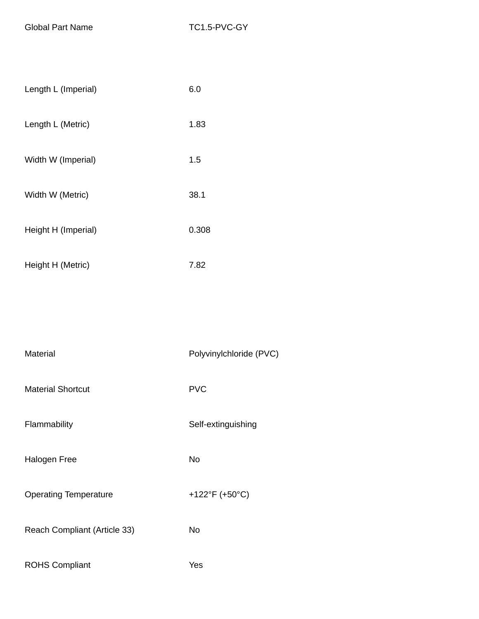Global Part Name TC1.5-PVC-GY

| Length L (Imperial) | 6.0   |
|---------------------|-------|
| Length L (Metric)   | 1.83  |
| Width W (Imperial)  | 1.5   |
| Width W (Metric)    | 38.1  |
| Height H (Imperial) | 0.308 |
| Height H (Metric)   | 7.82  |

| <b>Material</b>              | Polyvinylchloride (PVC) |
|------------------------------|-------------------------|
| <b>Material Shortcut</b>     | <b>PVC</b>              |
| Flammability                 | Self-extinguishing      |
| <b>Halogen Free</b>          | <b>No</b>               |
| <b>Operating Temperature</b> | +122°F (+50°C)          |
| Reach Compliant (Article 33) | No                      |
| <b>ROHS Compliant</b>        | Yes                     |